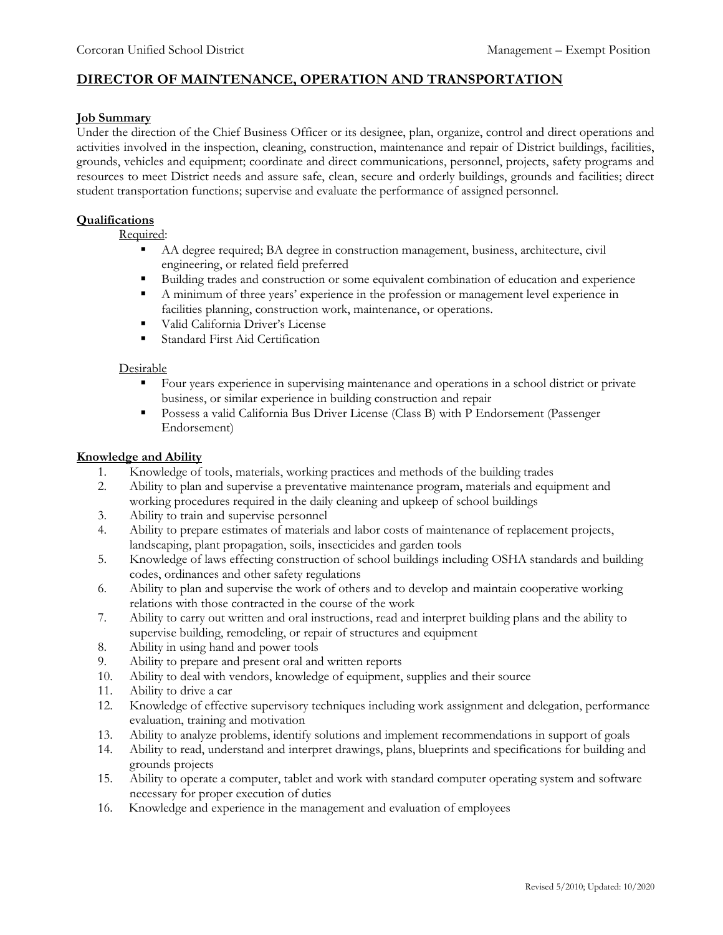## **DIRECTOR OF MAINTENANCE, OPERATION AND TRANSPORTATION**

#### **Job Summary**

Under the direction of the Chief Business Officer or its designee, plan, organize, control and direct operations and activities involved in the inspection, cleaning, construction, maintenance and repair of District buildings, facilities, grounds, vehicles and equipment; coordinate and direct communications, personnel, projects, safety programs and resources to meet District needs and assure safe, clean, secure and orderly buildings, grounds and facilities; direct student transportation functions; supervise and evaluate the performance of assigned personnel.

#### **Qualifications**

Required:

- AA degree required; BA degree in construction management, business, architecture, civil engineering, or related field preferred
- Building trades and construction or some equivalent combination of education and experience
- A minimum of three years' experience in the profession or management level experience in facilities planning, construction work, maintenance, or operations.
- Valid California Driver's License
- Standard First Aid Certification

### Desirable

- Four years experience in supervising maintenance and operations in a school district or private business, or similar experience in building construction and repair
- Possess a valid California Bus Driver License (Class B) with P Endorsement (Passenger Endorsement)

#### **Knowledge and Ability**

- 1. Knowledge of tools, materials, working practices and methods of the building trades
- 2. Ability to plan and supervise a preventative maintenance program, materials and equipment and working procedures required in the daily cleaning and upkeep of school buildings
- 3. Ability to train and supervise personnel
- 4. Ability to prepare estimates of materials and labor costs of maintenance of replacement projects, landscaping, plant propagation, soils, insecticides and garden tools
- 5. Knowledge of laws effecting construction of school buildings including OSHA standards and building codes, ordinances and other safety regulations
- 6. Ability to plan and supervise the work of others and to develop and maintain cooperative working relations with those contracted in the course of the work
- 7. Ability to carry out written and oral instructions, read and interpret building plans and the ability to supervise building, remodeling, or repair of structures and equipment
- 8. Ability in using hand and power tools
- 9. Ability to prepare and present oral and written reports
- 10. Ability to deal with vendors, knowledge of equipment, supplies and their source
- 11. Ability to drive a car
- 12. Knowledge of effective supervisory techniques including work assignment and delegation, performance evaluation, training and motivation
- 13. Ability to analyze problems, identify solutions and implement recommendations in support of goals
- 14. Ability to read, understand and interpret drawings, plans, blueprints and specifications for building and grounds projects
- 15. Ability to operate a computer, tablet and work with standard computer operating system and software necessary for proper execution of duties
- 16. Knowledge and experience in the management and evaluation of employees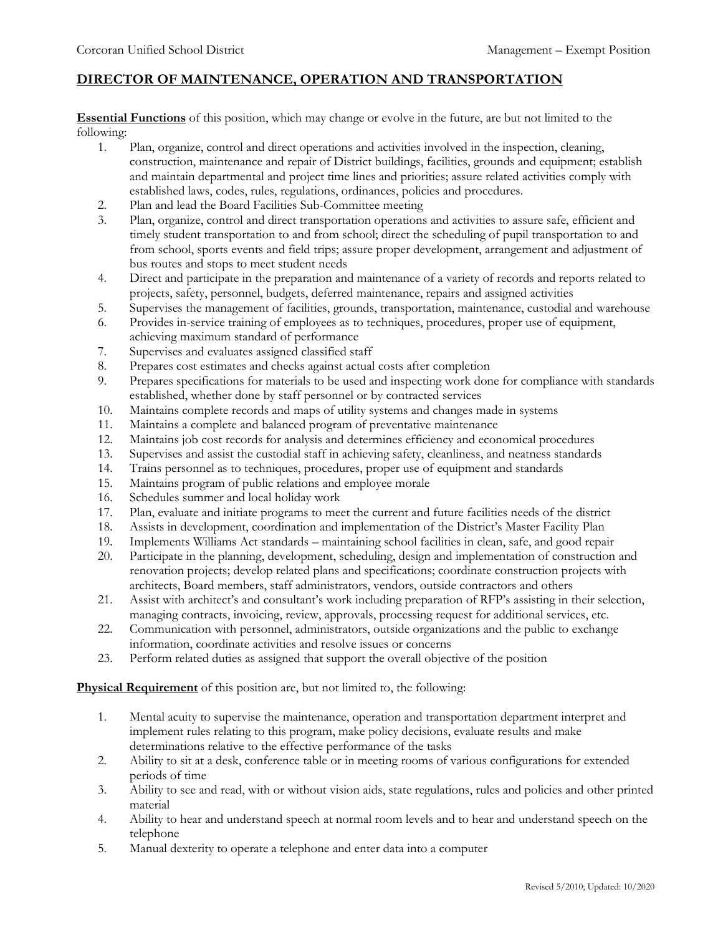# **DIRECTOR OF MAINTENANCE, OPERATION AND TRANSPORTATION**

**Essential Functions** of this position, which may change or evolve in the future, are but not limited to the following:

- 1. Plan, organize, control and direct operations and activities involved in the inspection, cleaning, construction, maintenance and repair of District buildings, facilities, grounds and equipment; establish and maintain departmental and project time lines and priorities; assure related activities comply with established laws, codes, rules, regulations, ordinances, policies and procedures.
- 2. Plan and lead the Board Facilities Sub-Committee meeting
- 3. Plan, organize, control and direct transportation operations and activities to assure safe, efficient and timely student transportation to and from school; direct the scheduling of pupil transportation to and from school, sports events and field trips; assure proper development, arrangement and adjustment of bus routes and stops to meet student needs
- 4. Direct and participate in the preparation and maintenance of a variety of records and reports related to projects, safety, personnel, budgets, deferred maintenance, repairs and assigned activities
- 5. Supervises the management of facilities, grounds, transportation, maintenance, custodial and warehouse
- 6. Provides in-service training of employees as to techniques, procedures, proper use of equipment, achieving maximum standard of performance
- 7. Supervises and evaluates assigned classified staff
- 8. Prepares cost estimates and checks against actual costs after completion
- 9. Prepares specifications for materials to be used and inspecting work done for compliance with standards established, whether done by staff personnel or by contracted services
- 10. Maintains complete records and maps of utility systems and changes made in systems
- 11. Maintains a complete and balanced program of preventative maintenance
- 12. Maintains job cost records for analysis and determines efficiency and economical procedures
- 13. Supervises and assist the custodial staff in achieving safety, cleanliness, and neatness standards
- 14. Trains personnel as to techniques, procedures, proper use of equipment and standards
- 15. Maintains program of public relations and employee morale
- 16. Schedules summer and local holiday work
- 17. Plan, evaluate and initiate programs to meet the current and future facilities needs of the district
- 18. Assists in development, coordination and implementation of the District's Master Facility Plan
- 19. Implements Williams Act standards maintaining school facilities in clean, safe, and good repair
- 20. Participate in the planning, development, scheduling, design and implementation of construction and renovation projects; develop related plans and specifications; coordinate construction projects with architects, Board members, staff administrators, vendors, outside contractors and others
- 21. Assist with architect's and consultant's work including preparation of RFP's assisting in their selection, managing contracts, invoicing, review, approvals, processing request for additional services, etc.
- 22. Communication with personnel, administrators, outside organizations and the public to exchange information, coordinate activities and resolve issues or concerns
- 23. Perform related duties as assigned that support the overall objective of the position

**Physical Requirement** of this position are, but not limited to, the following:

- 1. Mental acuity to supervise the maintenance, operation and transportation department interpret and implement rules relating to this program, make policy decisions, evaluate results and make determinations relative to the effective performance of the tasks
- 2. Ability to sit at a desk, conference table or in meeting rooms of various configurations for extended periods of time
- 3. Ability to see and read, with or without vision aids, state regulations, rules and policies and other printed material
- 4. Ability to hear and understand speech at normal room levels and to hear and understand speech on the telephone
- 5. Manual dexterity to operate a telephone and enter data into a computer